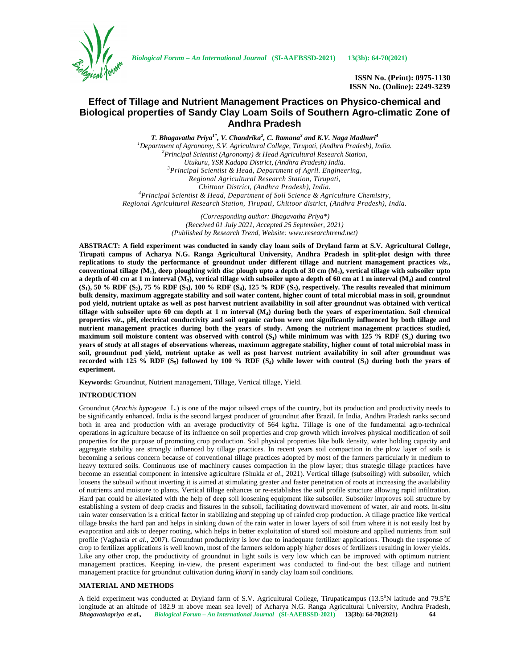

**ISSN No. (Print): 0975-1130 ISSN No. (Online): 2249-3239**

# **Effect of Tillage and Nutrient Management Practices on Physico-chemical and Biological properties of Sandy Clay Loam Soils of Southern Agro-climatic Zone of Andhra Pradesh**

*T. Bhagavatha Priya1\*, V. Chandrika<sup>2</sup> , C. Ramana<sup>3</sup> and K.V. Naga Madhuri<sup>4</sup> <sup>1</sup>Department of Agronomy, S.V. Agricultural College, Tirupati, (Andhra Pradesh), India. <sup>2</sup>Principal Scientist (Agronomy) & Head Agricultural Research Station, Utukuru, YSR Kadapa District, (Andhra Pradesh) India. <sup>3</sup>Principal Scientist & Head, Department of Agril. Engineering, Regional Agricultural Research Station, Tirupati, Chittoor District, (Andhra Pradesh), India. <sup>4</sup>Principal Scientist & Head, Department of Soil Science & Agriculture Chemistry, Regional Agricultural Research Station, Tirupati, Chittoor district, (Andhra Pradesh), India.*

> *(Corresponding author: Bhagavatha Priya\*) (Received 01 July 2021, Accepted 25 September, 2021) (Published by Research Trend, Website: <www.researchtrend.net>)*

**ABSTRACT: A field experiment was conducted in sandy clay loam soils of Dryland farm at S.V. Agricultural College, Tirupati campus of Acharya N.G. Ranga Agricultural University, Andhra Pradesh in split-plot design with three replications to study the performance of groundnut under different tillage and nutrient management practices** *viz***., conventional tillage (M<sup>1</sup> ), deep ploughing with disc plough upto a depth of 30 cm (M<sup>2</sup> ), vertical tillage with subsoiler upto a depth of 40 cm at 1 m interval (M<sup>3</sup> ), vertical tillage with subsoiler upto a depth of 60 cm at 1 m interval (M<sup>4</sup> ) and control (S<sup>1</sup> ), 50 % RDF (S<sup>2</sup> ), 75 % RDF (S<sup>3</sup> ), 100 % RDF (S<sup>4</sup> ), 125 % RDF (S<sup>5</sup> ), respectively. The results revealed that minimum bulk density, maximum aggregate stability and soil water content, higher count of total microbial mass in soil, groundnut pod yield, nutrient uptake as well as post harvest nutrient availability in soil after groundnut was obtained with vertical tillage with subsoiler upto 60 cm depth at 1 m interval (M<sup>4</sup> ) during both the years of experimentation. Soil chemical properties** *viz***., pH, electrical conductivity and soil organic carbon were not significantly influenced by both tillage and nutrient management practices during both the years of study. Among the nutrient management practices studied, maximum soil moisture content was observed with control (S<sup>1</sup> ) while minimum was with 125 % RDF (S<sup>5</sup> ) during two years of study at all stages of observations whereas, maximum aggregate stability, higher count of total microbial mass in soil, groundnut pod yield, nutrient uptake as well as post harvest nutrient availability in soil after groundnut was recorded with 125 % RDF**  $(S_5)$  followed by 100 % RDF  $(S_4)$  while lower with control  $(S_1)$  during both the years of **experiment.**

**Keywords:** Groundnut, Nutrient management, Tillage, Vertical tillage, Yield.

# **INTRODUCTION**

Groundnut (*Arachis hypogeae* L.) is one of the major oilseed crops of the country, but its production and productivity needs to be significantly enhanced. India is the second largest producer of groundnut after Brazil. In India, Andhra Pradesh ranks second both in area and production with an average productivity of 564 kg/ha. Tillage is one of the fundamental agro-technical operations in agriculture because of its influence on soil properties and crop growth which involves physical modification of soil properties for the purpose of promoting crop production. Soil physical properties like bulk density, water holding capacity and aggregate stability are strongly influenced by tillage practices. In recent years soil compaction in the plow layer of soils is becoming a serious concern because of conventional tillage practices adopted by most of the farmers particularly in medium to heavy textured soils. Continuous use of machinery causes compaction in the plow layer; thus strategic tillage practices have become an essential component in intensive agriculture (Shukla *et al*., 2021). Vertical tillage (subsoiling) with subsoiler, which loosens the subsoil without inverting it is aimed at stimulating greater and faster penetration of roots at increasing the availability of nutrients and moisture to plants. Vertical tillage enhances or re-establishes the soil profile structure allowing rapid infiltration. Hard pan could be alleviated with the help of deep soil loosening equipment like subsoiler. Subsoiler improves soil structure by establishing a system of deep cracks and fissures in the subsoil, facilitating downward movement of water, air and roots. In-situ rain water conservation is a critical factor in stabilizing and stepping up of rainfed crop production. A tillage practice like vertical tillage breaks the hard pan and helps in sinking down of the rain water in lower layers of soil from where it is not easily lost by evaporation and aids to deeper rooting, which helps in better exploitation of stored soil moisture and applied nutrients from soil profile (Vaghasia *et al*., 2007). Groundnut productivity is low due to inadequate fertilizer applications. Though the response of crop to fertilizer applications is well known, most of the farmers seldom apply higher doses of fertilizers resulting in lower yields. Like any other crop, the productivity of groundnut in light soils is very low which can be improved with optimum nutrient management practices. Keeping in-view, the present experiment was conducted to find-out the best tillage and nutrient management practice for groundnut cultivation during *kharif* in sandy clay loam soil conditions.

## **MATERIAL AND METHODS**

*Bhagavathapriya et al., Biological Forum – An International Journal* **(SI-AAEBSSD-2021) 13(3b): 64-70(2021) 64** A field experiment was conducted at Dryland farm of S.V. Agricultural College, Tirupaticampus (13.5°N latitude and 79.5°E longitude at an altitude of 182.9 m above mean sea level) of Acharya N.G. Ranga Agricultural University, Andhra Pradesh,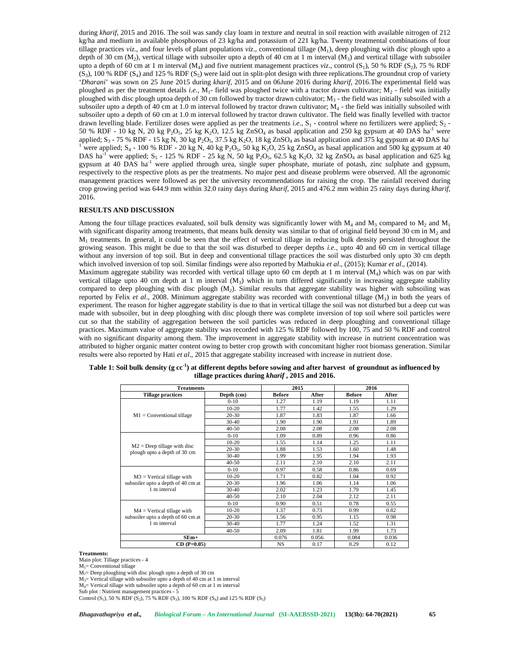during *kharif*, 2015 and 2016. The soil was sandy clay loam in texture and neutral in soil reaction with available nitrogen of 212 kg/ha and medium in available phosphorous of 23 kg/ha and potassium of 221 kg/ha. Twenty treatmental combinations of four tillage practices *viz.,* and four levels of plant populations *viz*., conventional tillage (M<sup>1</sup> ), deep ploughing with disc plough upto a depth of 30 cm  $(M_2)$ , vertical tillage with subsoiler upto a depth of 40 cm at 1 m interval  $(M_3)$  and vertical tillage with subsoiler upto a depth of 60 cm at 1 m interval  $(M_4)$  and five nutrient management practices *viz.*, control  $(S_1)$ , 50 % RDF  $(S_2)$ , 75 % RDF  $(S_3)$ , 100 % RDF  $(S_4)$  and 125 % RDF  $(S_5)$  were laid out in split-plot design with three replications. The groundnut crop of variety '*Dharani*' was sown on 25 June 2015 during *kharif*, 2015 and on 06June 2016 during *kharif*, 2016.The experimental field was ploughed as per the treatment details *i.e.*, M<sub>1</sub>- field was ploughed twice with a tractor drawn cultivator; M<sub>2</sub> - field was initially ploughed with disc plough uptoa depth of 30 cm followed by tractor drawn cultivator; M<sub>3</sub> - the field was initially subsoiled with a subsoiler upto a depth of 40 cm at 1.0 m interval followed by tractor drawn cultivator;  $M_4$  - the field was initially subsoiled with subsoiler upto a depth of 60 cm at 1.0 m interval followed by tractor drawn cultivator. The field was finally levelled with tractor drawn levelling blade. Fertilizer doses were applied as per the treatments *i.e.*, S<sub>1</sub> - control where no fertilizers were applied; S<sub>2</sub> -50 % RDF - 10 kg N, 20 kg P<sub>2</sub>O<sub>5</sub>, 25 kg K<sub>2</sub>O, 12.5 kg ZnSO<sub>4</sub> as basal application and 250 kg gypsum at 40 DAS ha<sup>-1</sup> were applied;  $S_3$  - 75 % RDF - 15 kg N, 30 kg P<sub>2</sub>O<sub>5</sub>, 37.5 applied;  $S_3$  - 75 % RDF - 15 kg N, 30 kg P<sub>2</sub>O<sub>5</sub>, 37.5 kg K<sub>2</sub>O, 18 kg ZnSO<sub>4</sub> as basal application and 375 kg gypsum at 40 DAS ha<sup>-1</sup> were applied; S<sub>4</sub> - 100 % RDF - 20 kg N, 40 kg P<sub>2</sub>O<sub>5</sub>, 50 kg K<sub>2</sub>O, 25 kg ZnSO<sub>4</sub> DAS ha<sup>-1</sup> were applied;  $S_5$  - 125 % RDF - 25 kg N, 50 kg P<sub>2</sub>O<sub>5</sub>, 62.5 kg K<sub>2</sub>O, 32 kg ZnSO<sub>4</sub> as basal application and 625 kg gypsum at 40 DAS ha<sup>-1</sup> were applied through urea, single super phosphate, muriate of potash, zinc sulphate and gypsum, respectively to the respective plots as per the treatments. No major pest and disease problems were observed. All the agronomic management practices were followed as per the university recommendations for raising the crop. The rainfall received during crop growing period was 644.9 mm within 32.0 rainy days during *kharif*, 2015 and 476.2 mm within 25 rainy days during *kharif*, 2016.

# **RESULTS AND DISCUSSION**

Among the four tillage practices evaluated, soil bulk density was significantly lower with  $M_4$  and  $M_3$  compared to  $M_2$  and  $M_1$ with significant disparity among treatments, that means bulk density was similar to that of original field beyond 30 cm in  $M_2$  and  $M_1$  treatments. In general, it could be seen that the effect of vertical tillage in reducing bulk density persisted throughout the growing season. This might be due to that the soil was disturbed to deeper depths *i.e.,* upto 40 and 60 cm in vertical tillage without any inversion of top soil. But in deep and conventional tillage practices the soil was disturbed only upto 30 cm depth which involved inversion of top soil. Similar findings were also reported by Mathukia *et al*., (2015); Kumar *et al*., (2014). Maximum aggregate stability was recorded with vertical tillage upto 60 cm depth at 1 m interval (M<sup>4</sup> ) which was on par with vertical tillage upto 40 cm depth at 1 m interval  $(M_3)$  which in turn differed significantly in increasing aggregate stability compared to deep ploughing with disc plough (M<sup>2</sup> ). Similar results that aggregate stability was higher with subsoiling was reported by Felix *et al.*, 2008. Minimum aggregate stability was recorded with conventional tillage (M<sub>1</sub>) in both the years of experiment. The reason for higher aggregate stability is due to that in vertical tillage the soil was not disturbed but a deep cut was made with subsoiler, but in deep ploughing with disc plough there was complete inversion of top soil where soil particles were cut so that the stability of aggregation between the soil particles was reduced in deep ploughing and conventional tillage practices. Maximum value of aggregate stability was recorded with 125 % RDF followed by 100, 75 and 50 % RDF and control with no significant disparity among them. The improvement in aggregate stability with increase in nutrient concentration was attributed to higher organic matter content owing to better crop growth with concomitant higher root biomass generation. Similar results were also reported by Hati *et al*., 2015 that aggregate stability increased with increase in nutrient dose.

| <b>Treatments</b>                  |            |                                                                                                                              | 2016                                                                                                                                                                                                                                                                                                         |               |       |
|------------------------------------|------------|------------------------------------------------------------------------------------------------------------------------------|--------------------------------------------------------------------------------------------------------------------------------------------------------------------------------------------------------------------------------------------------------------------------------------------------------------|---------------|-------|
| <b>Tillage practices</b>           | Depth (cm) | <b>Before</b>                                                                                                                | After                                                                                                                                                                                                                                                                                                        | <b>Before</b> | After |
|                                    | $0 - 10$   | 1.27                                                                                                                         | 1.19                                                                                                                                                                                                                                                                                                         | 1.19          | 1.11  |
|                                    | $10 - 20$  | 1.77                                                                                                                         | 1.42<br>1.55<br>1.83<br>1.87<br>1.90<br>1.91<br>2.08<br>2.08<br>0.89<br>0.96<br>1.14<br>1.25<br>1.53<br>1.60<br>1.95<br>1.94<br>2.10<br>2.10<br>0.58<br>0.86<br>0.82<br>1.04<br>1.06<br>1.14<br>1.23<br>1.79<br>2.04<br>2.12<br>0.51<br>0.78<br>0.73<br>0.99<br>0.95<br>1.15<br>1.24<br>1.52<br>1.81<br>1.99 | 1.29          |       |
| $M1 = Conventional$ tillage        | $20 - 30$  | 1.87                                                                                                                         |                                                                                                                                                                                                                                                                                                              |               | 1.66  |
|                                    | $30 - 40$  | 1.90                                                                                                                         |                                                                                                                                                                                                                                                                                                              |               | 1.89  |
|                                    | $40 - 50$  | 2.08                                                                                                                         |                                                                                                                                                                                                                                                                                                              |               | 2.08  |
|                                    | $0 - 10$   | 1.09                                                                                                                         |                                                                                                                                                                                                                                                                                                              |               | 0.86  |
|                                    | $10-20$    | 1.55                                                                                                                         |                                                                                                                                                                                                                                                                                                              |               | 1.11  |
| $M2$ = Deep tillage with disc      | $20 - 30$  | 1.88                                                                                                                         |                                                                                                                                                                                                                                                                                                              |               | 1.48  |
| plough upto a depth of 30 cm       | $30 - 40$  | 1.99                                                                                                                         |                                                                                                                                                                                                                                                                                                              |               | 1.93  |
|                                    | $40 - 50$  | 2.11                                                                                                                         |                                                                                                                                                                                                                                                                                                              |               | 2.11  |
|                                    | $0 - 10$   | 0.97                                                                                                                         |                                                                                                                                                                                                                                                                                                              |               | 0.69  |
| $M3$ = Vertical tillage with       | $10 - 20$  | 1.71                                                                                                                         |                                                                                                                                                                                                                                                                                                              |               | 0.92  |
| subsoiler upto a depth of 40 cm at | 20-30      | 2015<br>1.96<br>2.02<br>2.10<br>0.90<br>1.37<br>1.56<br>1.77<br>2.09<br>0.076<br>0.056<br>0.084<br><b>NS</b><br>0.17<br>0.29 |                                                                                                                                                                                                                                                                                                              | 1.06          |       |
| 1 m interval                       | $30 - 40$  |                                                                                                                              |                                                                                                                                                                                                                                                                                                              |               | 1.45  |
|                                    | $40 - 50$  |                                                                                                                              |                                                                                                                                                                                                                                                                                                              |               | 2.11  |
|                                    | $0 - 10$   |                                                                                                                              |                                                                                                                                                                                                                                                                                                              |               | 0.55  |
| $M4 = V$ ertical tillage with      | $10 - 20$  |                                                                                                                              |                                                                                                                                                                                                                                                                                                              |               | 0.82  |
| subsoiler upto a depth of 60 cm at | $20 - 30$  |                                                                                                                              |                                                                                                                                                                                                                                                                                                              |               | 0.98  |
| 1 m interval                       | $30 - 40$  |                                                                                                                              |                                                                                                                                                                                                                                                                                                              |               | 1.31  |
|                                    | $40 - 50$  |                                                                                                                              |                                                                                                                                                                                                                                                                                                              |               | 1.73  |
| $SEm+$                             |            |                                                                                                                              |                                                                                                                                                                                                                                                                                                              |               | 0.036 |
| $CD(P=0.05)$                       |            |                                                                                                                              |                                                                                                                                                                                                                                                                                                              |               | 0.12  |

**Table 1: Soil bulk density (g cc-1 ) at different depths before sowing and after harvest of groundnut as influenced by tillage practices during** *kharif* **, 2015 and 2016.**

#### **Treatments:**

Main plot: Tillage practices -4

 $M_1$ = Conventional tillage

 $M_2$ = Deep ploughing with disc plough upto a depth of 30 cm

M3= Vertical tillage with subsoiler upto a depth of 40 cm at 1 m interval

M4= Vertical tillage with subsoiler upto a depth of 60 cm at 1 m interval

Sub plot : Nutrient management practices - 5

Control  $(S_1)$ , 50 % RDF  $(S_2)$ , 75 % RDF  $(S_3)$ , 100 % RDF  $(S_4)$  and 125 % RDF  $(S_5)$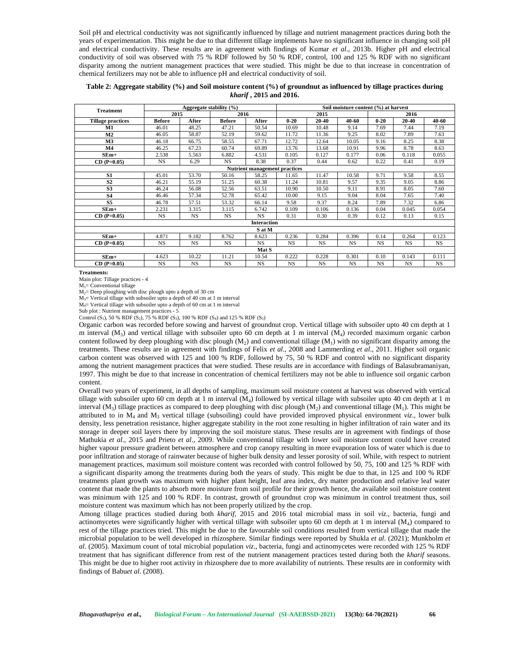Soil pH and electrical conductivity was not significantly influenced by tillage and nutrient management practices during both the years of experimentation. This might be due to that different tillage implements have no significant influence in changing soil pH and electrical conductivity. These results are in agreement with findings of Kumar *et al*., 2013b. Higher pH and electrical conductivity of soil was observed with 75 % RDF followed by 50 % RDF, control, 100 and 125 % RDF with no significant disparity among the nutrient management practices that were studied. This might be due to that increase in concentration of chemical fertilizers may not be able to influence pH and electrical conductivity of soil.

**Table 2: Aggregate stability (%) and Soil moisture content (%) of groundnut as influenced by tillage practices during** *kharif* **, 2015 and 2016.**

| <b>Treatment</b>              |               | Soil moisture content (%) at harvest |               |                    |           |           |           |           |           |           |
|-------------------------------|---------------|--------------------------------------|---------------|--------------------|-----------|-----------|-----------|-----------|-----------|-----------|
|                               | 2015          |                                      | 2016          |                    |           | 2015      |           |           | 2016      |           |
| <b>Tillage practices</b>      | <b>Before</b> | After                                | <b>Before</b> | After              | $0 - 20$  | 20-40     | 40-60     | $0 - 20$  | 20-40     | 40-60     |
| M1                            | 46.01         | 48.25                                | 47.21         | 50.54              | 10.69     | 10.48     | 9.14      | 7.69      | 7.44      | 7.19      |
| M <sub>2</sub>                | 46.05         | 58.87                                | 52.19         | 59.62              | 11.72     | 11.36     | 9.25      | 8.02      | 7.89      | 7.63      |
| M <sub>3</sub>                | 46.18         | 66.75                                | 58.55         | 67.71              | 12.72     | 12.64     | 10.05     | 9.16      | 8.25      | 8.38      |
| M <sub>4</sub>                | 46.25         | 67.23                                | 60.74         | 69.89              | 13.76     | 13.68     | 10.91     | 9.96      | 8.78      | 8.63      |
| $SEm+$                        | 2.538         | 5.563                                | 6.882         | 4.531              | 0.105     | 0.127     | 0.177     | 0.06      | 0.118     | 0.055     |
| $CD (P=0.05)$                 | <b>NS</b>     | 6.29                                 | <b>NS</b>     | 8.38               | 0.37      | 0.44      | 0.62      | 0.22      | 0.41      | 0.19      |
| Nutrient management practices |               |                                      |               |                    |           |           |           |           |           |           |
| S1                            | 45.01         | 53.70                                | 50.16         | 58.25              | 11.65     | 11.47     | 10.58     | 9.71      | 9.58      | 8.55      |
| S <sub>2</sub>                | 46.21         | 55.19                                | 51.25         | 60.38              | 11.24     | 10.81     | 9.57      | 9.35      | 9.05      | 8.86      |
| S <sub>3</sub>                | 46.24         | 56.08                                | 52.56         | 63.51              | 10.90     | 10.50     | 9.11      | 8.91      | 8.05      | 7.60      |
| <b>S4</b>                     | 46.46         | 57.34                                | 52.78         | 65.42              | 10.00     | 9.15      | 9.04      | 8.04      | 7.65      | 7.40      |
| S <sub>5</sub>                | 46.78         | 57.51                                | 53.32         | 66.14              | 9.58      | 9.37      | 8.24      | 7.89      | 7.32      | 6.86      |
| $SEm+$                        | 2.231         | 3.315                                | 3.115         | 6.742              | 0.109     | 0.106     | 0.136     | 0.04      | 0.045     | 0.054     |
| $CD (P=0.05)$                 | <b>NS</b>     | <b>NS</b>                            | <b>NS</b>     | <b>NS</b>          | 0.31      | 0.30      | 0.39      | 0.12      | 0.13      | 0.15      |
|                               |               |                                      |               | <b>Interaction</b> |           |           |           |           |           |           |
|                               |               |                                      |               | S at M             |           |           |           |           |           |           |
| $SEm+$                        | 4.871         | 9.182                                | 8.762         | 8.623              | 0.236     | 0.284     | 0.396     | 0.14      | 0.264     | 0.123     |
| $CD (P=0.05)$                 | <b>NS</b>     | <b>NS</b>                            | <b>NS</b>     | NS.                | <b>NS</b> | NS.       | <b>NS</b> | <b>NS</b> | <b>NS</b> | NS.       |
|                               |               |                                      |               | Mat S              |           |           |           |           |           |           |
| $SEm+$                        | 4.623         | 10.22                                | 11.21         | 10.54              | 0.222     | 0.228     | 0.301     | 0.10      | 0.143     | 0.111     |
| $CD (P=0.05)$                 | <b>NS</b>     | <b>NS</b>                            | <b>NS</b>     | <b>NS</b>          | <b>NS</b> | <b>NS</b> | <b>NS</b> | <b>NS</b> | <b>NS</b> | <b>NS</b> |

**Treatments:**

Main plot: Tillage practices -4

 $M_1$ = Conventional tillage  $M_2$ = Deep ploughing with disc plough upto a depth of 30 cm

M3= Vertical tillage with subsoiler upto a depth of 40 cm at 1 m interval

M4= Vertical tillage with subsoiler upto a depth of 60 cm at 1 m interval

Sub plot : Nutrient management practices - 5

Control (S<sub>1</sub>), 50 % RDF (S<sub>2</sub>), 75 % RDF (S<sub>3</sub>), 100 % RDF (S<sub>4</sub>) and 125 % RDF (S<sub>5</sub>)

Organic carbon was recorded before sowing and harvest of groundnut crop. Vertical tillage with subsoiler upto 40 cm depth at 1 m interval  $(M_3)$  and vertical tillage with subsoiler upto 60 cm depth at 1 m interval  $(M_4)$  recorded maximum organic carbon content followed by deep ploughing with disc plough  $(M_2)$  and conventional tillage  $(M_1)$  with no significant disparity among the treatments. These results are in agreement with findings of Felix *et al*., 2008 and Lammerding *et al*., 2011. Higher soil organic carbon content was observed with 125 and 100 % RDF, followed by 75, 50 % RDF and control with no significant disparity among the nutrient management practices that were studied. These results are in accordance with findings of Balasubramaniyan, 1997. This might be due to that increase in concentration of chemical fertilizers may not be able to influence soil organic carbon content.

Overall two years of experiment, in all depths of sampling, maximum soil moisture content at harvest was observed with vertical tillage with subsoiler upto 60 cm depth at 1 m interval (M<sup>4</sup> ) followed by vertical tillage with subsoiler upto 40 cm depth at 1 m interval  $(M_3)$  tillage practices as compared to deep ploughing with disc plough  $(M_2)$  and conventional tillage  $(M_1)$ . This might be attributed to in  $M_4$  and  $M_3$  vertical tillage (subsoiling) could have provided improved physical environment *viz*., lower bulk density, less penetration resistance, higher aggregate stability in the root zone resulting in higher infiltration of rain water and its storage in deeper soil layers there by improving the soil moisture status. These results are in agreement with findings of those Mathukia *et al*., 2015 and Prieto *et al*., 2009. While conventional tillage with lower soil moisture content could have created higher vapour pressure gradient between atmosphere and crop canopy resulting in more evaporation loss of water which is due to poor infiltration and storage of rainwater because of higher bulk density and lesser porosity of soil. While, with respect to nutrient management practices, maximum soil moisture content was recorded with control followed by 50, 75, 100 and 125 % RDF with a significant disparity among the treatments during both the years of study. This might be due to that, in 125 and 100 % RDF treatments plant growth was maximum with higher plant height, leaf area index, dry matter production and relative leaf water content that made the plants to absorb more moisture from soil profile for their growth hence, the available soil moisture content was minimum with 125 and 100 % RDF. In contrast, growth of groundnut crop was minimum in control treatment thus, soil moisture content was maximum which has not been properly utilized by the crop.

Among tillage practices studied during both *kharif*, 2015 and 2016 total microbial mass in soil *viz*., bacteria, fungi and actinomycetes were significantly higher with vertical tillage with subsoiler upto 60 cm depth at 1 m interval (M<sup>4</sup> ) compared to rest of the tillage practices tried. This might be due to the favourable soil conditions resulted from vertical tillage that made the microbial population to be well developed in rhizosphere. Similar findings were reported by Shukla *et al*. (2021); Munkholm *et al*. (2005). Maximum count of total microbial population *viz*., bacteria, fungi and actinomycetes were recorded with 125 % RDF treatment that has significant difference from rest of the nutrient management practices tested during both the *kharif* seasons. This might be due to higher root activity in rhizosphere due to more availability of nutrients. These results are in conformity with findings of Babu*et al*. (2008).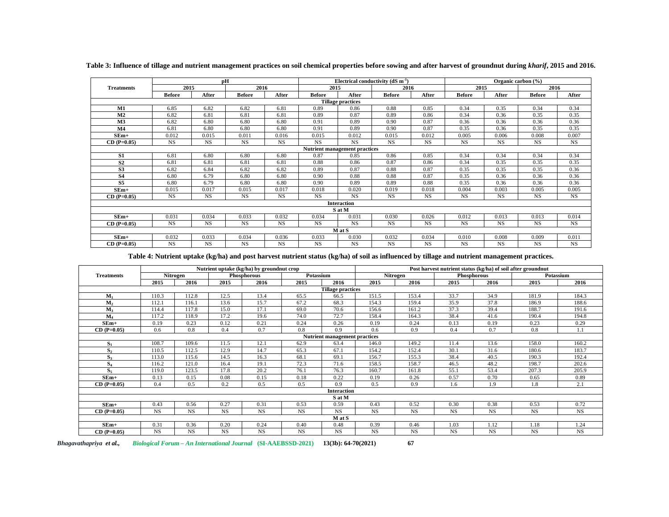|                          | pH            |           |               |           |               |                                      | Electrical conductivity $(dS m-1)$ |           | Organic carbon (%) |           |               |           |
|--------------------------|---------------|-----------|---------------|-----------|---------------|--------------------------------------|------------------------------------|-----------|--------------------|-----------|---------------|-----------|
| <b>Treatments</b>        | 2015          |           | 2016          |           | 2015          |                                      | 2016                               |           | 2015               |           | 2016          |           |
|                          | <b>Before</b> | After     | <b>Before</b> | After     | <b>Before</b> | After                                | <b>Before</b>                      | After     | <b>Before</b>      | After     | <b>Before</b> | After     |
| <b>Tillage practices</b> |               |           |               |           |               |                                      |                                    |           |                    |           |               |           |
| M1                       | 6.85          | 6.82      | 6.82          | 6.81      | 0.89          | 0.86                                 | 0.88                               | 0.85      | 0.34               | 0.35      | 0.34          | 0.34      |
| M <sub>2</sub>           | 6.82          | 6.81      | 6.81          | 6.81      | 0.89          | 0.87                                 | 0.89                               | 0.86      | 0.34               | 0.36      | 0.35          | 0.35      |
| M <sub>3</sub>           | 6.82          | 6.80      | 6.80          | 6.80      | 0.91          | 0.89                                 | 0.90                               | 0.87      | 0.36               | 0.36      | 0.36          | 0.36      |
| M <sub>4</sub>           | 6.81          | 6.80      | 6.80          | 6.80      | 0.91          | 0.89                                 | 0.90                               | 0.87      | 0.35               | 0.36      | 0.35          | 0.35      |
| $SEm+$                   | 0.012         | 0.015     | 0.011         | 0.016     | 0.015         | 0.012                                | 0.015                              | 0.012     | 0.005              | 0.006     | 0.008         | 0.007     |
| $CD (P=0.05)$            | <b>NS</b>     | <b>NS</b> | <b>NS</b>     | <b>NS</b> | <b>NS</b>     | <b>NS</b>                            | <b>NS</b>                          | <b>NS</b> | <b>NS</b>          | <b>NS</b> | <b>NS</b>     | <b>NS</b> |
|                          |               |           |               |           |               | <b>Nutrient management practices</b> |                                    |           |                    |           |               |           |
| S <sub>1</sub>           | 6.81          | 6.80      | 6.80          | 6.80      | 0.87          | 0.85                                 | 0.86                               | 0.85      | 0.34               | 0.34      | 0.34          | 0.34      |
| S <sub>2</sub>           | 6.81          | 6.81      | 6.81          | 6.81      | 0.88          | 0.86                                 | 0.87                               | 0.86      | 0.34               | 0.35      | 0.35          | 0.35      |
| S <sub>3</sub>           | 6.82          | 6.84      | 6.82          | 6.82      | 0.89          | 0.87                                 | 0.88                               | 0.87      | 0.35               | 0.35      | 0.35          | 0.36      |
| S <sub>4</sub>           | 6.80          | 6.79      | 6.80          | 6.80      | 0.90          | 0.88                                 | 0.88                               | 0.87      | 0.35               | 0.36      | 0.36          | 0.36      |
| S5                       | 6.80          | 6.79      | 6.80          | 6.80      | 0.90          | 0.89                                 | 0.89                               | 0.88      | 0.35               | 0.36      | 0.36          | 0.36      |
| $SEm+$                   | 0.015         | 0.017     | 0.015         | 0.017     | 0.018         | 0.020                                | 0.019                              | 0.018     | 0.004              | 0.003     | 0.005         | 0.005     |
| $CD(P=0.05)$             | <b>NS</b>     | <b>NS</b> | <b>NS</b>     | <b>NS</b> | <b>NS</b>     | <b>NS</b>                            | <b>NS</b>                          | <b>NS</b> | <b>NS</b>          | <b>NS</b> | <b>NS</b>     | <b>NS</b> |
|                          |               |           |               |           |               | Interaction                          |                                    |           |                    |           |               |           |
|                          |               |           |               |           |               | S at M                               |                                    |           |                    |           |               |           |
| $SEm+$                   | 0.031         | 0.034     | 0.033         | 0.032     | 0.034         | 0.031                                | 0.030                              | 0.026     | 0.012              | 0.013     | 0.013         | 0.014     |
| $CD (P=0.05)$            | <b>NS</b>     | <b>NS</b> | <b>NS</b>     | <b>NS</b> | <b>NS</b>     | <b>NS</b>                            | <b>NS</b>                          | <b>NS</b> | <b>NS</b>          | <b>NS</b> | <b>NS</b>     | <b>NS</b> |
|                          |               |           |               |           |               | M at S                               |                                    |           |                    |           |               |           |
| $SEm+$                   | 0.032         | 0.033     | 0.034         | 0.036     | 0.033         | 0.030                                | 0.032                              | 0.034     | 0.010              | 0.008     | 0.009         | 0.011     |
| $CD (P=0.05)$            | <b>NS</b>     | <b>NS</b> | <b>NS</b>     | <b>NS</b> | <b>NS</b>     | <b>NS</b>                            | <b>NS</b>                          | <b>NS</b> | <b>NS</b>          | <b>NS</b> | <b>NS</b>     | <b>NS</b> |

**Table 3: Influence of tillage and nutrient management practices on soil chemical properties before sowing and after harvest of groundnut during** *kharif***, 2015 and 2016.**

**Table 4: Nutrient uptake (kg/ha) and post harvest nutrient status (kg/ha) of soil as influenced by tillage and nutrient management practices.**

| Nutrient uptake (kg/ha) by ground nut crop |           |             |           |             | Post harvest nutrient status (kg/ha) of soil after groundnut |                               |           |           |           |             |           |           |
|--------------------------------------------|-----------|-------------|-----------|-------------|--------------------------------------------------------------|-------------------------------|-----------|-----------|-----------|-------------|-----------|-----------|
| <b>Treatments</b>                          |           | Nitrogen    |           | Phosphorous | Potassium                                                    |                               |           | Nitrogen  |           | Phosphorous |           | Potassium |
|                                            | 2015      | 2016        | 2015      | 2016        | 2015                                                         | 2016                          | 2015      | 2016      | 2015      | 2016        | 2015      | 2016      |
| <b>Tillage practices</b>                   |           |             |           |             |                                                              |                               |           |           |           |             |           |           |
| $M_1$                                      | 110.3     | 112.8       | 12.5      | 13.4        | 65.5                                                         | 66.5                          | 151.5     | 153.4     | 33.7      | 34.9        | 181.9     | 184.3     |
| M <sub>2</sub>                             | 112.1     | 116.1       | 13.6      | 15.7        | 67.2                                                         | 68.3                          | 154.3     | 159.4     | 35.9      | 37.8        | 186.9     | 188.6     |
| $M_{3}$                                    | 114.4     | 117.8       | 15.0      | 17.1        | 69.0                                                         | 70.6                          | 156.6     | 161.2     | 37.3      | 39.4        | 188.7     | 191.6     |
| M <sub>4</sub>                             | 117.2     | 118.9       | 17.2      | 19.6        | 74.0                                                         | 72.7                          | 158.4     | 164.3     | 38.4      | 41.6        | 190.4     | 194.8     |
| $SEm+$                                     | 0.19      | 0.23        | 0.12      | 0.21        | 0.24                                                         | 0.26                          | 0.19      | 0.24      | 0.13      | 0.19        | 0.23      | 0.29      |
| $CD (P=0.05)$                              | 0.6       | 0.8         | 0.4       | 0.7         | 0.8                                                          | 0.9                           | 0.6       | 0.9       | 0.4       | 0.7         | 0.8       | 1.1       |
|                                            |           |             |           |             |                                                              | Nutrient management practices |           |           |           |             |           |           |
| $S_{1}$                                    | 108.7     | 109.6       | 11.5      | 12.1        | 62.9                                                         | 63.4                          | 146.0     | 149.2     | 11.4      | 13.6        | 158.0     | 160.2     |
| S <sub>2</sub>                             | 110.5     | 112.5       | 12.9      | 14.7        | 65.3                                                         | 67.1                          | 154.2     | 152.4     | 30.1      | 31.6        | 180.6     | 183.7     |
| S <sub>3</sub>                             | 113.0     | 115.6       | 14.5      | 16.3        | 68.1                                                         | 69.1                          | 156.7     | 155.3     | 38.4      | 40.5        | 190.3     | 192.4     |
| $S_4$                                      | 116.2     | 121.0       | 16.4      | 19.1        | 72.3                                                         | 71.6                          | 158.5     | 158.7     | 46.5      | 48.2        | 198.7     | 202.6     |
| $S_5$                                      | 119.0     | 123.5       | 17.8      | 20.2        | 76.1                                                         | 76.3                          | 160.7     | 161.8     | 55.1      | 53.4        | 207.3     | 205.9     |
| $SEm+$                                     | 0.13      | 0.15        | 0.08      | 0.15        | 0.18                                                         | 0.22                          | 0.19      | 0.26      | 0.57      | 0.70        | 0.65      | 0.89      |
| $CD (P=0.05)$                              | 0.4       | 0.5         | 0.2       | 0.5         | 0.5                                                          | 0.9                           | 0.5       | 0.9       | 1.6       | 1.9         | 1.8       | 2.1       |
|                                            |           |             |           |             |                                                              | <b>Interaction</b>            |           |           |           |             |           |           |
|                                            |           |             |           |             |                                                              | S at M                        |           |           |           |             |           |           |
| $SEm+$                                     | 0.43      | 0.56        | 0.27      | 0.31        | 0.53                                                         | 0.59                          | 0.43      | 0.52      | 0.30      | 0.38        | 0.53      | 0.72      |
| $CD (P=0.05)$                              | <b>NS</b> | $_{\rm NS}$ | <b>NS</b> | NS.         | <b>NS</b>                                                    | <b>NS</b>                     | <b>NS</b> | <b>NS</b> | <b>NS</b> | <b>NS</b>   | <b>NS</b> | <b>NS</b> |
|                                            |           |             |           |             |                                                              | M at S                        |           |           |           |             |           |           |
| $SEm+$                                     | 0.31      | 0.36        | 0.20      | 0.24        | 0.40                                                         | 0.48                          | 0.39      | 0.46      | 1.03      | 1.12        | 1.18      | 1.24      |
| $CD(P=0.05)$                               | <b>NS</b> | <b>NS</b>   | <b>NS</b> | <b>NS</b>   | <b>NS</b>                                                    | <b>NS</b>                     | <b>NS</b> | <b>NS</b> | <b>NS</b> | <b>NS</b>   | <b>NS</b> | <b>NS</b> |

*Bhagavathapriya et al., Biological Forum – An International Journal* **(SI-AAEBSSD-2021) 13(3b): 64-70(2021) 67**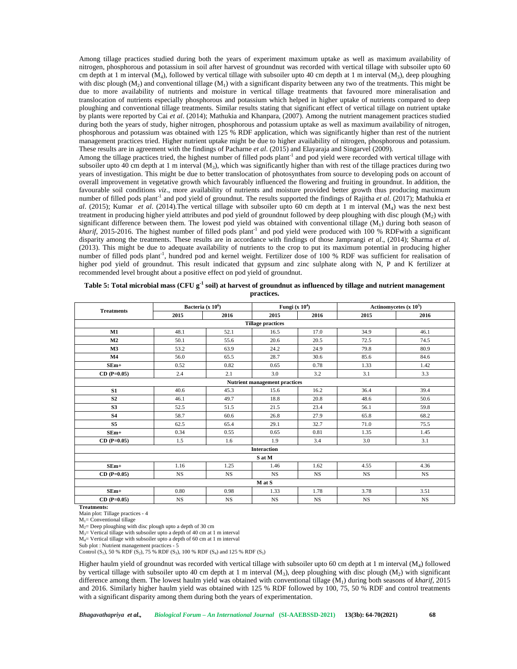Among tillage practices studied during both the years of experiment maximum uptake as well as maximum availability of nitrogen, phosphorous and potassium in soil after harvest of groundnut was recorded with vertical tillage with subsoiler upto 60 cm depth at 1 m interval ( $M_4$ ), followed by vertical tillage with subsoiler upto 40 cm depth at 1 m interval ( $M_3$ ), deep ploughing with disc plough  $(M_2)$  and conventional tillage  $(M_1)$  with a significant disparity between any two of the treatments. This might be due to more availability of nutrients and moisture in vertical tillage treatments that favoured more mineralisation and translocation of nutrients especially phosphorous and potassium which helped in higher uptake of nutrients compared to deep ploughing and conventional tillage treatments. Similar results stating that significant effect of vertical tillage on nutrient uptake by plants were reported by Cai *et al*. (2014); Mathukia and Khanpara, (2007). Among the nutrient management practices studied during both the years of study, higher nitrogen, phosphorous and potassium uptake as well as maximum availability of nitrogen, phosphorous and potassium was obtained with 125 % RDF application, which was significantly higher than rest of the nutrient management practices tried. Higher nutrient uptake might be due to higher availability of nitrogen, phosphorous and potassium. These results are in agreement with the findings of Pacharne *et al*. (2015) and Elayaraja and Singarvel (2009).

Among the tillage practices tried, the highest number of filled pods plant<sup>1</sup> and pod yield were recorded with vertical tillage with subsoiler upto 40 cm depth at 1 m interval  $(M_3)$ , which was significantly higher than with rest of the tillage practices during two years of investigation. This might be due to better translocation of photosynthates from source to developing pods on account of overall improvement in vegetative growth which favourably influenced the flowering and fruiting in groundnut. In addition, the favourable soil conditions *viz*., more availability of nutrients and moisture provided better growth thus producing maximum number of filled pods plant<sup>-1</sup> and pod yield of groundnut. The results supported the findings of Rajitha *et al.* (2017); Mathukia *et al*. (2015); Kumar *et al*. (2014).The vertical tillage with subsoiler upto 60 cm depth at 1 m interval (M<sup>4</sup> ) was the next best treatment in producing higher yield attributes and pod yield of groundnut followed by deep ploughing with disc plough  $(M_2)$  with significant difference between them. The lowest pod yield was obtained with conventional tillage  $(M<sub>1</sub>)$  during both season of *kharif*, 2015-2016. The highest number of filled pods plant<sup>-1</sup> and pod yield were produced with 100 % RDFwith a significant disparity among the treatments. These results are in accordance with findings of those Jamprangi *et al*., (2014); Sharma *et al*. (2013). This might be due to adequate availability of nutrients to the crop to put its maximum potential in producing higher number of filled pods plant<sup>-1</sup>, hundred pod and kernel weight. Fertilizer dose of 100 % RDF was sufficient for realisation of higher pod yield of groundnut. This result indicated that gypsum and zinc sulphate along with N, P and K fertilizer at recommended level brought about a positive effect on pod yield of groundnut.

|                   | Bacteria (x $10^6$ )     |             | Fungi (x $104$ )                     |             | Actinomycetes $(x 10^5)$ |           |  |  |  |  |  |
|-------------------|--------------------------|-------------|--------------------------------------|-------------|--------------------------|-----------|--|--|--|--|--|
| <b>Treatments</b> | 2015                     | 2016        | 2015                                 | 2016        | 2015                     | 2016      |  |  |  |  |  |
|                   | <b>Tillage practices</b> |             |                                      |             |                          |           |  |  |  |  |  |
| M1                | 48.1                     | 52.1        | 16.5                                 | 17.0        | 34.9                     | 46.1      |  |  |  |  |  |
| M <sub>2</sub>    | 50.1                     | 55.6        | 20.6                                 | 20.5        | 72.5                     | 74.5      |  |  |  |  |  |
| M3                | 53.2                     | 63.9        | 24.2                                 | 24.9        | 79.8                     | 80.9      |  |  |  |  |  |
| M <sub>4</sub>    | 56.0                     | 65.5        | 28.7                                 | 30.6        | 85.6                     | 84.6      |  |  |  |  |  |
| $SEm+$            | 0.52                     | 0.82        | 0.65                                 | 0.78        | 1.33                     | 1.42      |  |  |  |  |  |
| $CD (P=0.05)$     | 2.4                      | 2.1         | 3.0                                  | 3.2         | 3.1                      | 3.3       |  |  |  |  |  |
|                   |                          |             | <b>Nutrient management practices</b> |             |                          |           |  |  |  |  |  |
| S1                | 40.6                     | 45.3        | 15.6                                 | 16.2        | 36.4                     | 39.4      |  |  |  |  |  |
| S <sub>2</sub>    | 46.1                     | 49.7        | 18.8                                 | 20.8        | 48.6                     | 50.6      |  |  |  |  |  |
| S <sub>3</sub>    | 52.5                     | 51.5        | 21.5                                 | 23.4        | 56.1                     | 59.8      |  |  |  |  |  |
| <b>S4</b>         | 58.7                     | 60.6        | 26.8                                 | 27.9        | 65.8                     | 68.2      |  |  |  |  |  |
| S <sub>5</sub>    | 62.5                     | 65.4        | 29.1                                 | 32.7        | 71.0                     | 75.5      |  |  |  |  |  |
| $SEm+$            | 0.34                     | 0.55        | 0.65                                 | 0.81        | 1.35                     | 1.45      |  |  |  |  |  |
| $CD (P=0.05)$     | 1.5                      | 1.6         | 1.9                                  | 3.4         | 3.0                      | 3.1       |  |  |  |  |  |
|                   |                          |             | <b>Interaction</b>                   |             |                          |           |  |  |  |  |  |
|                   |                          |             | S at M                               |             |                          |           |  |  |  |  |  |
| $SEm+$            | 1.16                     | 1.25        | 1.46                                 | 1.62        | 4.55                     | 4.36      |  |  |  |  |  |
| $CD(P=0.05)$      | $_{\rm NS}$              | $_{\rm NS}$ | $_{\rm NS}$                          | $_{\rm NS}$ | <b>NS</b>                | <b>NS</b> |  |  |  |  |  |
|                   |                          |             | M at S                               |             |                          |           |  |  |  |  |  |
| $SEm+$            | 0.80                     | 0.98        | 1.33                                 | 1.78        | 3.78                     | 3.51      |  |  |  |  |  |
| $CD(P=0.05)$      | $_{\rm NS}$              | $_{\rm NS}$ | $_{\rm NS}$                          | $_{\rm NS}$ | $_{\rm NS}$              | <b>NS</b> |  |  |  |  |  |

| Table 5: Total microbial mass (CFU $g^{-1}$ soil) at harvest of groundnut as influenced by tillage and nutrient management |
|----------------------------------------------------------------------------------------------------------------------------|
| practices.                                                                                                                 |

**Treatments:** Main plot: Tillage practices -4

 $M_1$ = Conventional tillage

 $M<sub>2</sub>=$  Deep ploughing with disc plough upto a depth of 30 cm

M3= Vertical tillage with subsoiler upto a depth of 40 cm at 1 m interval

M4= Vertical tillage with subsoiler upto a depth of 60 cm at 1 m interval

Sub plot : Nutrient management practices - 5

Control (S<sub>1</sub>), 50 % RDF (S<sub>2</sub>), 75 % RDF (S<sub>3</sub>), 100 % RDF (S<sub>4</sub>) and 125 % RDF (S<sub>5</sub>)

Higher haulm yield of groundnut was recorded with vertical tillage with subsoiler upto 60 cm depth at 1 m interval (M<sup>4</sup> ) followed by vertical tillage with subsoiler upto 40 cm depth at 1 m interval  $(M_3)$ , deep ploughing with disc plough  $(M_2)$  with significant difference among them. The lowest haulm yield was obtained with conventional tillage (M<sub>1</sub>) during both seasons of *kharif*, 2015 and 2016. Similarly higher haulm yield was obtained with 125 % RDF followed by 100, 75, 50 % RDF and control treatments with a significant disparity among them during both the years of experimentation.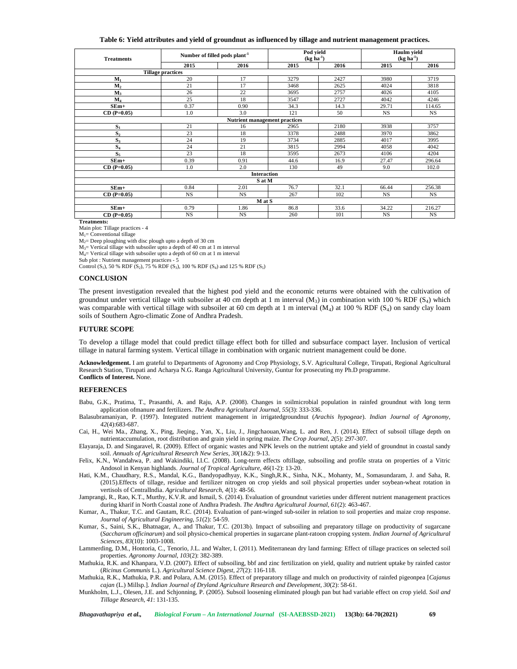## **Table 6: Yield attributes and yield of groundnut as influenced by tillage and nutrient management practices.**

| <b>Treatments</b> | Number of filled pods plant <sup>-1</sup> |                                      | Pod yield<br>$(kg ha-1)$ |      | Haulm yield<br>$(kg ha-1)$ |           |  |
|-------------------|-------------------------------------------|--------------------------------------|--------------------------|------|----------------------------|-----------|--|
|                   | 2015                                      | 2016                                 | 2015                     | 2016 | 2015                       | 2016      |  |
|                   | <b>Tillage practices</b>                  |                                      |                          |      |                            |           |  |
| $M_1$             | 20                                        | 17                                   | 3279                     | 2427 | 3980                       | 3719      |  |
| M <sub>2</sub>    | 21                                        | 17                                   | 3468                     | 2625 | 4024                       | 3818      |  |
| $M_3$             | 26                                        | 22                                   | 3695                     | 2757 | 4026                       | 4105      |  |
| $M_4$             | 25                                        | 18                                   | 3547                     | 2727 | 4042                       | 4246      |  |
| $SEm+$            | 0.37                                      | 0.90                                 | 34.3                     | 14.3 | 29.71                      | 114.65    |  |
| $CD (P=0.05)$     | 1.0                                       | 3.0                                  | 121                      | 50   | <b>NS</b>                  | <b>NS</b> |  |
|                   |                                           | <b>Nutrient management practices</b> |                          |      |                            |           |  |
| $S_1$             | 21                                        | 16                                   | 2965                     | 2180 | 3938                       | 3757      |  |
| S <sub>2</sub>    | 23                                        | 18                                   | 3378                     | 2488 | 3970                       | 3862      |  |
| $S_3$             | 24                                        | 19                                   | 3734                     | 2885 | 4017                       | 3995      |  |
| $S_4$             | 24                                        | 21                                   | 3815                     | 2994 | 4058                       | 4042      |  |
| $S_5$             | 23                                        | 18                                   | 3595                     | 2673 | 4106                       | 4204      |  |
| $SEm+$            | 0.39                                      | 0.91                                 | 44.6                     | 16.9 | 27.47                      | 296.64    |  |
| $CD (P=0.05)$     | 1.0                                       | 2.0                                  | 130                      | 49   | 9.0                        | 102.0     |  |
|                   |                                           | <b>Interaction</b>                   |                          |      |                            |           |  |
|                   |                                           | S at M                               |                          |      |                            |           |  |
| $SEm+$            | 0.84                                      | 2.01                                 | 76.7                     | 32.1 | 66.44                      | 256.38    |  |
| $CD (P=0.05)$     | <b>NS</b>                                 | <b>NS</b>                            | 267                      | 102  | <b>NS</b>                  | <b>NS</b> |  |
|                   |                                           | M at S                               |                          |      |                            |           |  |
| $SEm+$            | 0.79                                      | 1.86                                 | 86.8                     | 33.6 | 34.22                      | 216.27    |  |
| $CD (P=0.05)$     | <b>NS</b>                                 | <b>NS</b>                            | 260                      | 101  | <b>NS</b>                  | <b>NS</b> |  |

**Treatments:**

Main plot: Tillage practices -4

 $M_1$ = Conventional tillage

 $M_2$ = Deep ploughing with disc plough upto a depth of 30 cm

 $M_3$ = Vertical tillage with subsoiler upto a depth of 40 cm at 1 m interval

 $M_4$ = Vertical tillage with subsoiler upto a depth of 60 cm at 1 m interval

Sub plot : Nutrient management practices - 5

Control (S<sub>1</sub>), 50 % RDF (S<sub>2</sub>), 75 % RDF (S<sub>3</sub>), 100 % RDF (S<sub>4</sub>) and 125 % RDF (S<sub>5</sub>)

### **CONCLUSION**

The present investigation revealed that the highest pod yield and the economic returns were obtained with the cultivation of groundnut under vertical tillage with subsoiler at 40 cm depth at 1 m interval  $(M_3)$  in combination with 100 % RDF  $(S_4)$  which was comparable with vertical tillage with subsoiler at 60 cm depth at 1 m interval (M<sub>4</sub>) at 100 % RDF (S<sub>4</sub>) on sandy clay loam soils of Southern Agro-climatic Zone of Andhra Pradesh.

# **FUTURE SCOPE**

To develop a tillage model that could predict tillage effect both for tilled and subsurface compact layer. Inclusion of vertical tillage in natural farming system. Vertical tillage in combination with organic nutrient management could be done.

**Acknowledgement.** I am grateful to Departments of Agronomy and Crop Physiology, S.V. Agricultural College, Tirupati, Regional Agricultural Research Station, Tirupati and Acharya N.G. Ranga Agricultural University, Guntur for prosecuting my Ph.D programme. **Conflicts of Interest.** None.

## **REFERENCES**

- Babu, G.K., Pratima, T., Prasanthi, A. and Raju, A.P. (2008). Changes in soilmicrobial population in rainfed groundnut with long term application ofmanure and fertilizers. *The Andhra Agricultural Journal*, *55*(3): 333-336.
- Balasubramaniyan, P. (1997). Integrated nutrient management in irrigatedgroundnut (*Arachis hypogeae*). *Indian Journal of Agronomy*, *42*(4):683-687.
- Cai, H., Wei Ma., Zhang, X., Ping, Jieqing., Yan, X., Liu, J., Jingchaouan,Wang, L. and Ren, J. (2014). Effect of subsoil tillage depth on nutrientaccumulation, root distribution and grain yield in spring maize. *The Crop Journal*, *2*(5): 297-307.
- Elayaraja, D. and Singaravel, R. (2009). Effect of organic wastes and NPK levels on the nutrient uptake and yield of groundnut in coastal sandy soil. *Annuals of Agricultural Research New Series*, *30*(1&2): 9-13.
- Felix, K.N., Wandahwa, P. and Wakindiki, I.I.C. (2008). Long-term effects oftillage, subsoiling and profile strata on properties of a Vitric Andosol in Kenyan highlands. *Journal of Tropical Agriculture*, *46*(1-2): 13-20.
- Hati, K.M., Chaudhary, R.S., Mandal, K.G., Bandyopadhyay, K.K., Singh,R.K., Sinha, N.K., Mohanty, M., Somasundaram, J. and Saha, R. (2015).Effects of tillage, residue and fertilizer nitrogen on crop yields and soil physical properties under soybean-wheat rotation in vertisols of CentralIndia. *Agricultural Research*, *4*(1): 48-56.
- Jamprangi, R., Rao, K.T., Murthy, K.V.R. and Ismail, S. (2014). Evaluation of groundnut varieties under different nutrient management practices during kharif in North Coastal zone of Andhra Pradesh. *The Andhra Agricultural Journal*, *61*(2): 463-467.
- Kumar, A., Thakur, T.C. and Gautam, R.C. (2014). Evaluation of pant-winged sub-soiler in relation to soil properties and maize crop response. *Journal of Agricultural Engineering*, *51*(2): 54-59.
- Kumar, S., Saini, S.K., Bhatnagar, A., and Thakur, T.C. (2013b). Impact of subsoiling and preparatory tillage on productivity of sugarcane (*Saccharum officinarum*) and soil physico-chemical properties in sugarcane plant-ratoon cropping system. *Indian Journal of Agricultural Sciences, 83*(10): 1003-1008.
- Lammerding, D.M., Hontoria, C., Tenorio, J.L. and Walter, I. (2011). Mediterranean dry land farming: Effect of tillage practices on selected soil properties. *Agronomy Journal*, *103*(2): 382-389.
- Mathukia, R.K. and Khanpara, V.D. (2007). Effect of subsoiling, bbf and zinc fertilization on yield, quality and nutrient uptake by rainfed castor (*Ricinus Communis* L.). *Agricultural Science Digest*, *27*(2): 116-118.
- Mathukia, R.K., Mathukia, P.R. and Polara, A.M. (2015). Effect of preparatory tillage and mulch on productivity of rainfed pigeonpea [*Cajanus cajan* (L.) Millsp.]. *Indian Journal of Dryland Agriculture Research and Development*, *30*(2): 58-61.
- Munkholm, L.J., Olesen, J.E. and Schjonning, P. (2005). Subsoil loosening eliminated plough pan but had variable effect on crop yield. *Soil and Tillage Research*, *41*: 131-135.